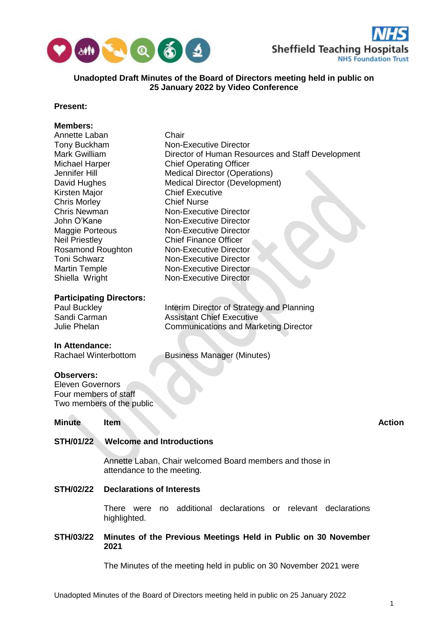



## **Unadopted Draft Minutes of the Board of Directors meeting held in public on 25 January 2022 by Video Conference**

## **Present:**

# **Members:**

| Annette Laban                                        |                                      | Chair                                                          |               |
|------------------------------------------------------|--------------------------------------|----------------------------------------------------------------|---------------|
| Tony Buckham                                         |                                      | <b>Non-Executive Director</b>                                  |               |
| Mark Gwilliam                                        |                                      | Director of Human Resources and Staff Development              |               |
| Michael Harper                                       |                                      | <b>Chief Operating Officer</b>                                 |               |
| Jennifer Hill                                        |                                      | <b>Medical Director (Operations)</b>                           |               |
| David Hughes                                         |                                      | Medical Director (Development)                                 |               |
| Kirsten Major                                        |                                      | <b>Chief Executive</b>                                         |               |
| <b>Chris Morley</b>                                  |                                      | <b>Chief Nurse</b>                                             |               |
| <b>Chris Newman</b>                                  |                                      | <b>Non-Executive Director</b>                                  |               |
| John O'Kane                                          |                                      | <b>Non-Executive Director</b>                                  |               |
| <b>Maggie Porteous</b>                               |                                      | <b>Non-Executive Director</b>                                  |               |
| <b>Neil Priestley</b>                                |                                      | <b>Chief Finance Officer</b>                                   |               |
| Rosamond Roughton                                    |                                      | Non-Executive Director                                         |               |
| <b>Toni Schwarz</b>                                  |                                      | <b>Non-Executive Director</b>                                  |               |
| <b>Martin Temple</b>                                 |                                      | <b>Non-Executive Director</b>                                  |               |
| Shiella Wright                                       |                                      | <b>Non-Executive Director</b>                                  |               |
|                                                      |                                      |                                                                |               |
| <b>Participating Directors:</b>                      |                                      |                                                                |               |
| Paul Buckley                                         |                                      | Interim Director of Strategy and Planning                      |               |
| Sandi Carman                                         |                                      | <b>Assistant Chief Executive</b>                               |               |
| <b>Julie Phelan</b>                                  |                                      | <b>Communications and Marketing Director</b>                   |               |
|                                                      |                                      |                                                                |               |
| In Attendance:<br><b>Rachael Winterbottom</b>        |                                      | <b>Business Manager (Minutes)</b>                              |               |
|                                                      |                                      |                                                                |               |
| <b>Observers:</b>                                    |                                      |                                                                |               |
| <b>Eleven Governors</b>                              |                                      |                                                                |               |
| Four members of staff                                |                                      |                                                                |               |
| Two members of the public                            |                                      |                                                                |               |
|                                                      |                                      |                                                                |               |
| <b>Minute</b>                                        | <b>Item</b>                          |                                                                | <b>Action</b> |
|                                                      |                                      |                                                                |               |
| <b>Welcome and Introductions</b><br><b>STH/01/22</b> |                                      |                                                                |               |
|                                                      |                                      | Annette Laban, Chair welcomed Board members and those in       |               |
|                                                      | attendance to the meeting.           |                                                                |               |
| <b>STH/02/22</b>                                     | <b>Declarations of Interests</b>     |                                                                |               |
|                                                      | <b>There</b><br>were<br>highlighted. | additional<br>declarations or relevant declarations<br>no      |               |
| <b>STH/03/22</b>                                     | 2021                                 | Minutes of the Previous Meetings Held in Public on 30 November |               |

The Minutes of the meeting held in public on 30 November 2021 were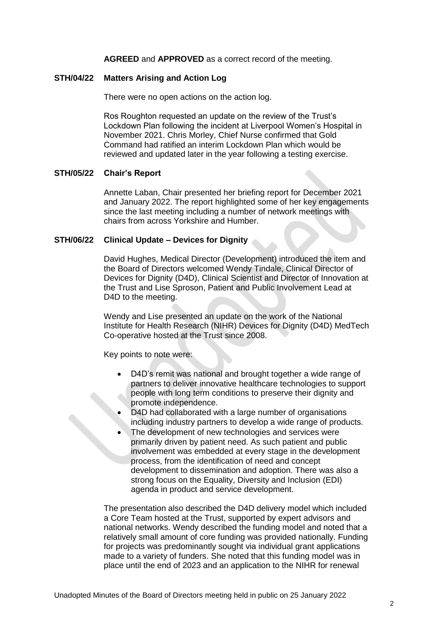**AGREED** and **APPROVED** as a correct record of the meeting.

### **STH/04/22 Matters Arising and Action Log**

There were no open actions on the action log.

Ros Roughton requested an update on the review of the Trust's Lockdown Plan following the incident at Liverpool Women's Hospital in November 2021. Chris Morley, Chief Nurse confirmed that Gold Command had ratified an interim Lockdown Plan which would be reviewed and updated later in the year following a testing exercise.

## **STH/05/22 Chair's Report**

Annette Laban, Chair presented her briefing report for December 2021 and January 2022. The report highlighted some of her key engagements since the last meeting including a number of network meetings with chairs from across Yorkshire and Humber.

### **STH/06/22 Clinical Update – Devices for Dignity**

David Hughes, Medical Director (Development) introduced the item and the Board of Directors welcomed Wendy Tindale, Clinical Director of Devices for Dignity (D4D), Clinical Scientist and Director of Innovation at the Trust and Lise Sproson, Patient and Public Involvement Lead at D<sub>4</sub>D to the meeting.

Wendy and Lise presented an update on the work of the National Institute for Health Research (NIHR) Devices for Dignity (D4D) MedTech Co-operative hosted at the Trust since 2008.

Key points to note were:

- D4D's remit was national and brought together a wide range of partners to deliver innovative healthcare technologies to support people with long term conditions to preserve their dignity and promote independence.
- D4D had collaborated with a large number of organisations including industry partners to develop a wide range of products.
- The development of new technologies and services were primarily driven by patient need. As such patient and public involvement was embedded at every stage in the development process, from the identification of need and concept development to dissemination and adoption. There was also a strong focus on the Equality, Diversity and Inclusion (EDI) agenda in product and service development.

The presentation also described the D4D delivery model which included a Core Team hosted at the Trust, supported by expert advisors and national networks. Wendy described the funding model and noted that a relatively small amount of core funding was provided nationally. Funding for projects was predominantly sought via individual grant applications made to a variety of funders. She noted that this funding model was in place until the end of 2023 and an application to the NIHR for renewal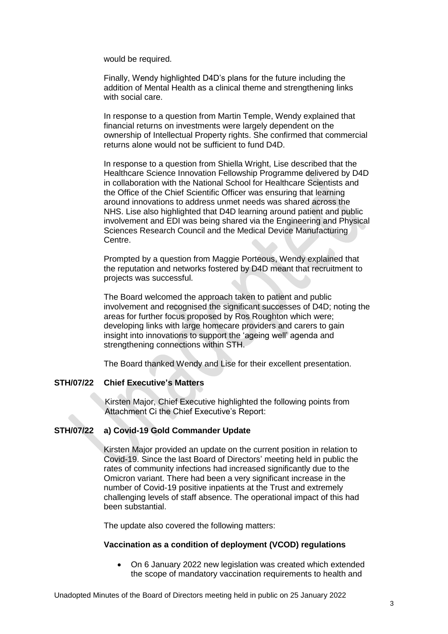would be required.

Finally, Wendy highlighted D4D's plans for the future including the addition of Mental Health as a clinical theme and strengthening links with social care.

In response to a question from Martin Temple, Wendy explained that financial returns on investments were largely dependent on the ownership of Intellectual Property rights. She confirmed that commercial returns alone would not be sufficient to fund D4D.

In response to a question from Shiella Wright, Lise described that the Healthcare Science Innovation Fellowship Programme delivered by D4D in collaboration with the National School for Healthcare Scientists and the Office of the Chief Scientific Officer was ensuring that learning around innovations to address unmet needs was shared across the NHS. Lise also highlighted that D4D learning around patient and public involvement and EDI was being shared via the Engineering and Physical Sciences Research Council and the Medical Device Manufacturing Centre.

Prompted by a question from Maggie Porteous, Wendy explained that the reputation and networks fostered by D4D meant that recruitment to projects was successful.

The Board welcomed the approach taken to patient and public involvement and recognised the significant successes of D4D; noting the areas for further focus proposed by Ros Roughton which were; developing links with large homecare providers and carers to gain insight into innovations to support the 'ageing well' agenda and strengthening connections within STH.

The Board thanked Wendy and Lise for their excellent presentation.

## **STH/07/22 Chief Executive's Matters**

Kirsten Major, Chief Executive highlighted the following points from Attachment Ci the Chief Executive's Report:

## **STH/07/22 a) Covid-19 Gold Commander Update**

Kirsten Major provided an update on the current position in relation to Covid-19. Since the last Board of Directors' meeting held in public the rates of community infections had increased significantly due to the Omicron variant. There had been a very significant increase in the number of Covid-19 positive inpatients at the Trust and extremely challenging levels of staff absence. The operational impact of this had been substantial.

The update also covered the following matters:

### **Vaccination as a condition of deployment (VCOD) regulations**

 On 6 January 2022 new legislation was created which extended the scope of mandatory vaccination requirements to health and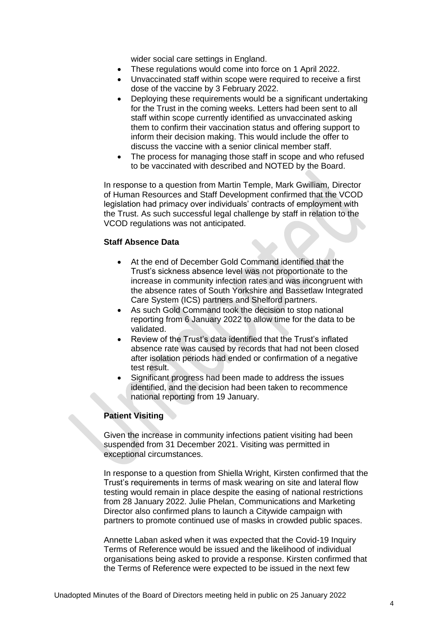wider social care settings in England.

- These regulations would come into force on 1 April 2022.
- Unvaccinated staff within scope were required to receive a first dose of the vaccine by 3 February 2022.
- Deploying these requirements would be a significant undertaking for the Trust in the coming weeks. Letters had been sent to all staff within scope currently identified as unvaccinated asking them to confirm their vaccination status and offering support to inform their decision making. This would include the offer to discuss the vaccine with a senior clinical member staff.
- The process for managing those staff in scope and who refused to be vaccinated with described and NOTED by the Board.

In response to a question from Martin Temple, Mark Gwilliam, Director of Human Resources and Staff Development confirmed that the VCOD legislation had primacy over individuals' contracts of employment with the Trust. As such successful legal challenge by staff in relation to the VCOD regulations was not anticipated.

### **Staff Absence Data**

- At the end of December Gold Command identified that the Trust's sickness absence level was not proportionate to the increase in community infection rates and was incongruent with the absence rates of South Yorkshire and Bassetlaw Integrated Care System (ICS) partners and Shelford partners.
- As such Gold Command took the decision to stop national reporting from 6 January 2022 to allow time for the data to be validated.
- Review of the Trust's data identified that the Trust's inflated absence rate was caused by records that had not been closed after isolation periods had ended or confirmation of a negative test result.
- Significant progress had been made to address the issues identified, and the decision had been taken to recommence national reporting from 19 January.

## **Patient Visiting**

Given the increase in community infections patient visiting had been suspended from 31 December 2021. Visiting was permitted in exceptional circumstances.

In response to a question from Shiella Wright, Kirsten confirmed that the Trust's requirements in terms of mask wearing on site and lateral flow testing would remain in place despite the easing of national restrictions from 28 January 2022. Julie Phelan, Communications and Marketing Director also confirmed plans to launch a Citywide campaign with partners to promote continued use of masks in crowded public spaces.

Annette Laban asked when it was expected that the Covid-19 Inquiry Terms of Reference would be issued and the likelihood of individual organisations being asked to provide a response. Kirsten confirmed that the Terms of Reference were expected to be issued in the next few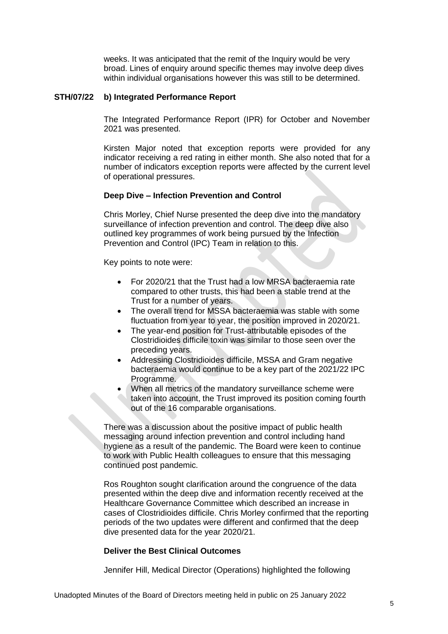weeks. It was anticipated that the remit of the Inquiry would be very broad. Lines of enquiry around specific themes may involve deep dives within individual organisations however this was still to be determined.

### **STH/07/22 b) Integrated Performance Report**

The Integrated Performance Report (IPR) for October and November 2021 was presented.

Kirsten Major noted that exception reports were provided for any indicator receiving a red rating in either month. She also noted that for a number of indicators exception reports were affected by the current level of operational pressures.

## **Deep Dive – Infection Prevention and Control**

Chris Morley, Chief Nurse presented the deep dive into the mandatory surveillance of infection prevention and control. The deep dive also outlined key programmes of work being pursued by the Infection Prevention and Control (IPC) Team in relation to this.

Key points to note were:

- For 2020/21 that the Trust had a low MRSA bacteraemia rate compared to other trusts, this had been a stable trend at the Trust for a number of years.
- The overall trend for MSSA bacteraemia was stable with some fluctuation from year to year, the position improved in 2020/21.
- The year-end position for Trust-attributable episodes of the Clostridioides difficile toxin was similar to those seen over the preceding years.
- Addressing Clostridioides difficile, MSSA and Gram negative bacteraemia would continue to be a key part of the 2021/22 IPC Programme.
- When all metrics of the mandatory surveillance scheme were taken into account, the Trust improved its position coming fourth out of the 16 comparable organisations.

There was a discussion about the positive impact of public health messaging around infection prevention and control including hand hygiene as a result of the pandemic. The Board were keen to continue to work with Public Health colleagues to ensure that this messaging continued post pandemic.

Ros Roughton sought clarification around the congruence of the data presented within the deep dive and information recently received at the Healthcare Governance Committee which described an increase in cases of Clostridioides difficile. Chris Morley confirmed that the reporting periods of the two updates were different and confirmed that the deep dive presented data for the year 2020/21.

### **Deliver the Best Clinical Outcomes**

Jennifer Hill, Medical Director (Operations) highlighted the following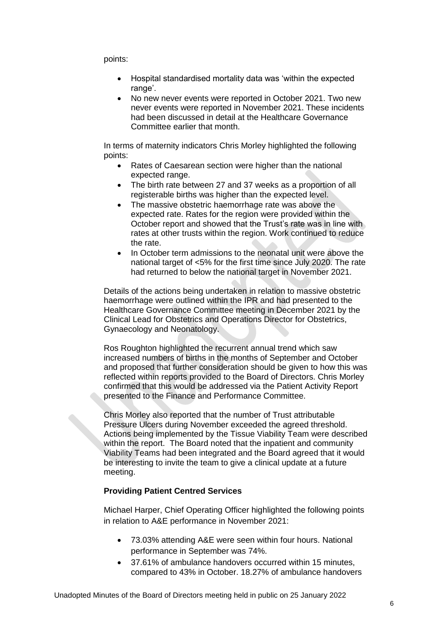points:

- Hospital standardised mortality data was 'within the expected range'.
- No new never events were reported in October 2021. Two new never events were reported in November 2021. These incidents had been discussed in detail at the Healthcare Governance Committee earlier that month.

In terms of maternity indicators Chris Morley highlighted the following points:

- Rates of Caesarean section were higher than the national expected range.
- The birth rate between 27 and 37 weeks as a proportion of all registerable births was higher than the expected level.
- The massive obstetric haemorrhage rate was above the expected rate. Rates for the region were provided within the October report and showed that the Trust's rate was in line with rates at other trusts within the region. Work continued to reduce the rate.
- In October term admissions to the neonatal unit were above the national target of <5% for the first time since July 2020. The rate had returned to below the national target in November 2021.

Details of the actions being undertaken in relation to massive obstetric haemorrhage were outlined within the IPR and had presented to the Healthcare Governance Committee meeting in December 2021 by the Clinical Lead for Obstetrics and Operations Director for Obstetrics, Gynaecology and Neonatology.

Ros Roughton highlighted the recurrent annual trend which saw increased numbers of births in the months of September and October and proposed that further consideration should be given to how this was reflected within reports provided to the Board of Directors. Chris Morley confirmed that this would be addressed via the Patient Activity Report presented to the Finance and Performance Committee.

Chris Morley also reported that the number of Trust attributable Pressure Ulcers during November exceeded the agreed threshold. Actions being implemented by the Tissue Viability Team were described within the report. The Board noted that the inpatient and community Viability Teams had been integrated and the Board agreed that it would be interesting to invite the team to give a clinical update at a future meeting.

## **Providing Patient Centred Services**

Michael Harper, Chief Operating Officer highlighted the following points in relation to A&E performance in November 2021:

- 73.03% attending A&E were seen within four hours. National performance in September was 74%.
- 37.61% of ambulance handovers occurred within 15 minutes, compared to 43% in October. 18.27% of ambulance handovers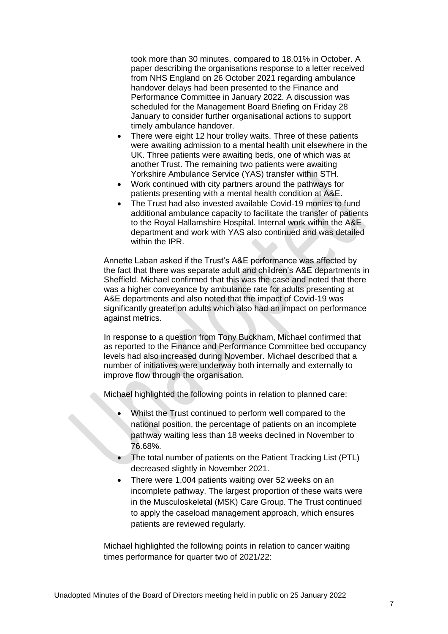took more than 30 minutes, compared to 18.01% in October. A paper describing the organisations response to a letter received from NHS England on 26 October 2021 regarding ambulance handover delays had been presented to the Finance and Performance Committee in January 2022. A discussion was scheduled for the Management Board Briefing on Friday 28 January to consider further organisational actions to support timely ambulance handover.

- There were eight 12 hour trolley waits. Three of these patients were awaiting admission to a mental health unit elsewhere in the UK. Three patients were awaiting beds, one of which was at another Trust. The remaining two patients were awaiting Yorkshire Ambulance Service (YAS) transfer within STH.
- Work continued with city partners around the pathways for patients presenting with a mental health condition at A&E.
- The Trust had also invested available Covid-19 monies to fund additional ambulance capacity to facilitate the transfer of patients to the Royal Hallamshire Hospital. Internal work within the A&E department and work with YAS also continued and was detailed within the IPR.

Annette Laban asked if the Trust's A&E performance was affected by the fact that there was separate adult and children's A&E departments in Sheffield. Michael confirmed that this was the case and noted that there was a higher conveyance by ambulance rate for adults presenting at A&E departments and also noted that the impact of Covid-19 was significantly greater on adults which also had an impact on performance against metrics.

In response to a question from Tony Buckham, Michael confirmed that as reported to the Finance and Performance Committee bed occupancy levels had also increased during November. Michael described that a number of initiatives were underway both internally and externally to improve flow through the organisation.

Michael highlighted the following points in relation to planned care:

- Whilst the Trust continued to perform well compared to the national position, the percentage of patients on an incomplete pathway waiting less than 18 weeks declined in November to 76.68%.
- The total number of patients on the Patient Tracking List (PTL) decreased slightly in November 2021.
- There were 1,004 patients waiting over 52 weeks on an incomplete pathway. The largest proportion of these waits were in the Musculoskeletal (MSK) Care Group. The Trust continued to apply the caseload management approach, which ensures patients are reviewed regularly.

Michael highlighted the following points in relation to cancer waiting times performance for quarter two of 2021/22: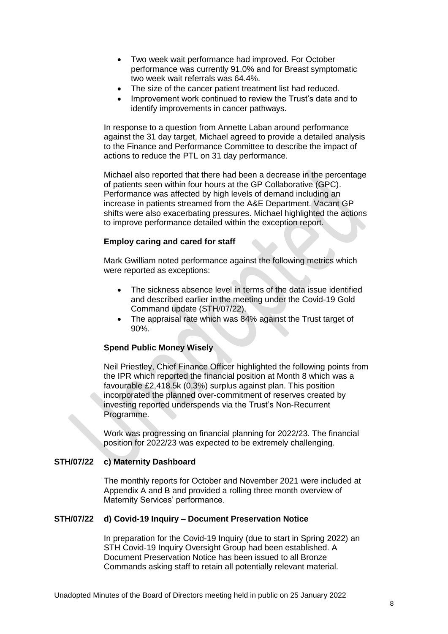- Two week wait performance had improved. For October performance was currently 91.0% and for Breast symptomatic two week wait referrals was 64.4%.
- The size of the cancer patient treatment list had reduced.
- Improvement work continued to review the Trust's data and to identify improvements in cancer pathways.

In response to a question from Annette Laban around performance against the 31 day target, Michael agreed to provide a detailed analysis to the Finance and Performance Committee to describe the impact of actions to reduce the PTL on 31 day performance.

Michael also reported that there had been a decrease in the percentage of patients seen within four hours at the GP Collaborative (GPC). Performance was affected by high levels of demand including an increase in patients streamed from the A&E Department. Vacant GP shifts were also exacerbating pressures. Michael highlighted the actions to improve performance detailed within the exception report.

## **Employ caring and cared for staff**

Mark Gwilliam noted performance against the following metrics which were reported as exceptions:

- The sickness absence level in terms of the data issue identified and described earlier in the meeting under the Covid-19 Gold Command update (STH/07/22).
- The appraisal rate which was 84% against the Trust target of 90%.

### **Spend Public Money Wisely**

Neil Priestley, Chief Finance Officer highlighted the following points from the IPR which reported the financial position at Month 8 which was a favourable £2,418.5k (0.3%) surplus against plan. This position incorporated the planned over-commitment of reserves created by investing reported underspends via the Trust's Non-Recurrent Programme.

Work was progressing on financial planning for 2022/23. The financial position for 2022/23 was expected to be extremely challenging.

## **STH/07/22 c) Maternity Dashboard**

The monthly reports for October and November 2021 were included at Appendix A and B and provided a rolling three month overview of Maternity Services' performance.

### **STH/07/22 d) Covid-19 Inquiry – Document Preservation Notice**

In preparation for the Covid-19 Inquiry (due to start in Spring 2022) an STH Covid-19 Inquiry Oversight Group had been established. A Document Preservation Notice has been issued to all Bronze Commands asking staff to retain all potentially relevant material.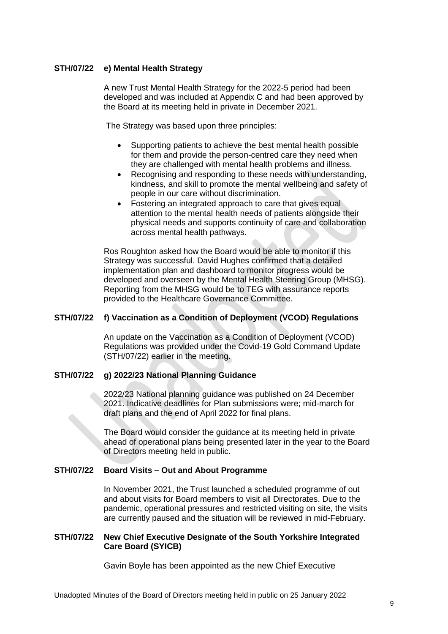## **STH/07/22 e) Mental Health Strategy**

A new Trust Mental Health Strategy for the 2022-5 period had been developed and was included at Appendix C and had been approved by the Board at its meeting held in private in December 2021.

The Strategy was based upon three principles:

- Supporting patients to achieve the best mental health possible for them and provide the person-centred care they need when they are challenged with mental health problems and illness.
- Recognising and responding to these needs with understanding, kindness, and skill to promote the mental wellbeing and safety of people in our care without discrimination.
- Fostering an integrated approach to care that gives equal attention to the mental health needs of patients alongside their physical needs and supports continuity of care and collaboration across mental health pathways.

Ros Roughton asked how the Board would be able to monitor if this Strategy was successful. David Hughes confirmed that a detailed implementation plan and dashboard to monitor progress would be developed and overseen by the Mental Health Steering Group (MHSG). Reporting from the MHSG would be to TEG with assurance reports provided to the Healthcare Governance Committee.

## **STH/07/22 f) Vaccination as a Condition of Deployment (VCOD) Regulations**

An update on the Vaccination as a Condition of Deployment (VCOD) Regulations was provided under the Covid-19 Gold Command Update (STH/07/22) earlier in the meeting.

## **STH/07/22 g) 2022/23 National Planning Guidance**

2022/23 National planning guidance was published on 24 December 2021. Indicative deadlines for Plan submissions were; mid-march for draft plans and the end of April 2022 for final plans.

The Board would consider the guidance at its meeting held in private ahead of operational plans being presented later in the year to the Board of Directors meeting held in public.

## **STH/07/22 Board Visits – Out and About Programme**

In November 2021, the Trust launched a scheduled programme of out and about visits for Board members to visit all Directorates. Due to the pandemic, operational pressures and restricted visiting on site, the visits are currently paused and the situation will be reviewed in mid-February.

## **STH/07/22 New Chief Executive Designate of the South Yorkshire Integrated Care Board (SYICB)**

Gavin Boyle has been appointed as the new Chief Executive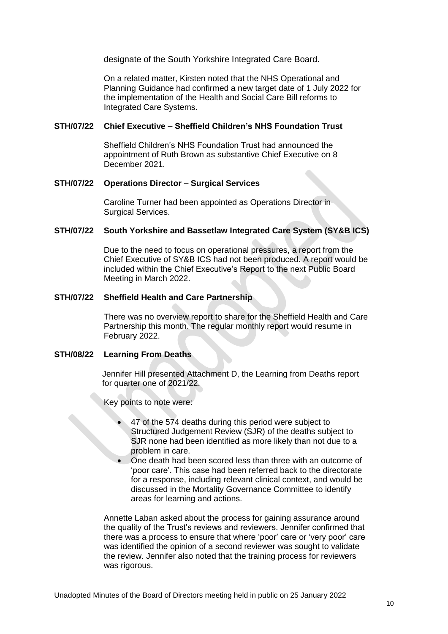designate of the South Yorkshire Integrated Care Board.

On a related matter, Kirsten noted that the NHS Operational and Planning Guidance had confirmed a new target date of 1 July 2022 for the implementation of the Health and Social Care Bill reforms to Integrated Care Systems.

# **STH/07/22 Chief Executive – Sheffield Children's NHS Foundation Trust**

Sheffield Children's NHS Foundation Trust had announced the appointment of Ruth Brown as substantive Chief Executive on 8 December 2021.

## **STH/07/22 Operations Director – Surgical Services**

Caroline Turner had been appointed as Operations Director in Surgical Services.

### **STH/07/22 South Yorkshire and Bassetlaw Integrated Care System (SY&B ICS)**

Due to the need to focus on operational pressures, a report from the Chief Executive of SY&B ICS had not been produced. A report would be included within the Chief Executive's Report to the next Public Board Meeting in March 2022.

## **STH/07/22 Sheffield Health and Care Partnership**

There was no overview report to share for the Sheffield Health and Care Partnership this month. The regular monthly report would resume in February 2022.

## **STH/08/22 Learning From Deaths**

Jennifer Hill presented Attachment D, the Learning from Deaths report for quarter one of 2021/22.

Key points to note were:

- 47 of the 574 deaths during this period were subject to Structured Judgement Review (SJR) of the deaths subject to SJR none had been identified as more likely than not due to a problem in care.
- One death had been scored less than three with an outcome of 'poor care'. This case had been referred back to the directorate for a response, including relevant clinical context, and would be discussed in the Mortality Governance Committee to identify areas for learning and actions.

Annette Laban asked about the process for gaining assurance around the quality of the Trust's reviews and reviewers. Jennifer confirmed that there was a process to ensure that where 'poor' care or 'very poor' care was identified the opinion of a second reviewer was sought to validate the review. Jennifer also noted that the training process for reviewers was rigorous.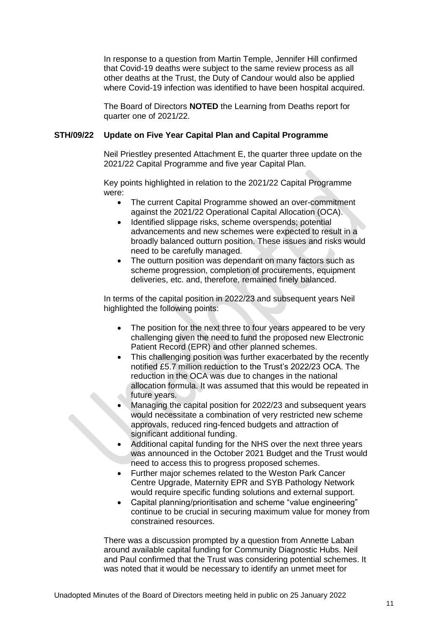In response to a question from Martin Temple, Jennifer Hill confirmed that Covid-19 deaths were subject to the same review process as all other deaths at the Trust, the Duty of Candour would also be applied where Covid-19 infection was identified to have been hospital acquired.

The Board of Directors **NOTED** the Learning from Deaths report for quarter one of 2021/22.

## **STH/09/22 Update on Five Year Capital Plan and Capital Programme**

Neil Priestley presented Attachment E, the quarter three update on the 2021/22 Capital Programme and five year Capital Plan.

Key points highlighted in relation to the 2021/22 Capital Programme were:

- The current Capital Programme showed an over-commitment against the 2021/22 Operational Capital Allocation (OCA).
- Identified slippage risks, scheme overspends; potential advancements and new schemes were expected to result in a broadly balanced outturn position. These issues and risks would need to be carefully managed.
- The outturn position was dependant on many factors such as scheme progression, completion of procurements, equipment deliveries, etc. and, therefore, remained finely balanced.

In terms of the capital position in 2022/23 and subsequent years Neil highlighted the following points:

- The position for the next three to four years appeared to be very challenging given the need to fund the proposed new Electronic Patient Record (EPR) and other planned schemes.
- This challenging position was further exacerbated by the recently notified £5.7 million reduction to the Trust's 2022/23 OCA. The reduction in the OCA was due to changes in the national allocation formula. It was assumed that this would be repeated in future years.
- Managing the capital position for 2022/23 and subsequent years would necessitate a combination of very restricted new scheme approvals, reduced ring-fenced budgets and attraction of significant additional funding.
- Additional capital funding for the NHS over the next three years was announced in the October 2021 Budget and the Trust would need to access this to progress proposed schemes.
- Further major schemes related to the Weston Park Cancer Centre Upgrade, Maternity EPR and SYB Pathology Network would require specific funding solutions and external support.
- Capital planning/prioritisation and scheme "value engineering" continue to be crucial in securing maximum value for money from constrained resources.

There was a discussion prompted by a question from Annette Laban around available capital funding for Community Diagnostic Hubs. Neil and Paul confirmed that the Trust was considering potential schemes. It was noted that it would be necessary to identify an unmet meet for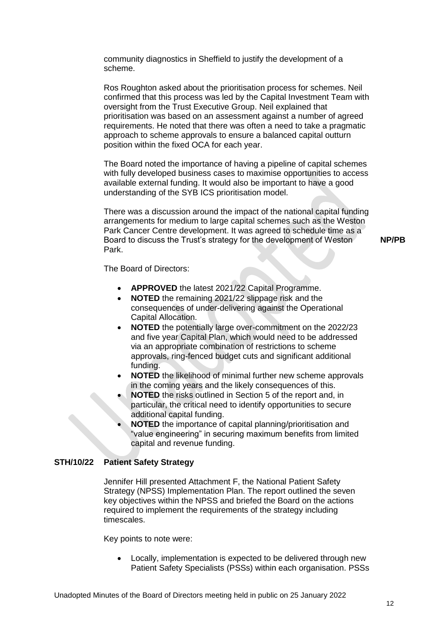community diagnostics in Sheffield to justify the development of a scheme.

Ros Roughton asked about the prioritisation process for schemes. Neil confirmed that this process was led by the Capital Investment Team with oversight from the Trust Executive Group. Neil explained that prioritisation was based on an assessment against a number of agreed requirements. He noted that there was often a need to take a pragmatic approach to scheme approvals to ensure a balanced capital outturn position within the fixed OCA for each year.

The Board noted the importance of having a pipeline of capital schemes with fully developed business cases to maximise opportunities to access available external funding. It would also be important to have a good understanding of the SYB ICS prioritisation model.

There was a discussion around the impact of the national capital funding arrangements for medium to large capital schemes such as the Weston Park Cancer Centre development. It was agreed to schedule time as a Board to discuss the Trust's strategy for the development of Weston Park.

**NP/PB**

The Board of Directors:

- **APPROVED** the latest 2021/22 Capital Programme.
- **NOTED** the remaining 2021/22 slippage risk and the consequences of under-delivering against the Operational Capital Allocation.
- **NOTED** the potentially large over-commitment on the 2022/23 and five year Capital Plan, which would need to be addressed via an appropriate combination of restrictions to scheme approvals, ring-fenced budget cuts and significant additional funding.
- **NOTED** the likelihood of minimal further new scheme approvals in the coming years and the likely consequences of this.
- **NOTED** the risks outlined in Section 5 of the report and, in particular, the critical need to identify opportunities to secure additional capital funding.
- **NOTED** the importance of capital planning/prioritisation and "value engineering" in securing maximum benefits from limited capital and revenue funding.

### **STH/10/22 Patient Safety Strategy**

Jennifer Hill presented Attachment F, the National Patient Safety Strategy (NPSS) Implementation Plan. The report outlined the seven key objectives within the NPSS and briefed the Board on the actions required to implement the requirements of the strategy including timescales.

Key points to note were:

 Locally, implementation is expected to be delivered through new Patient Safety Specialists (PSSs) within each organisation. PSSs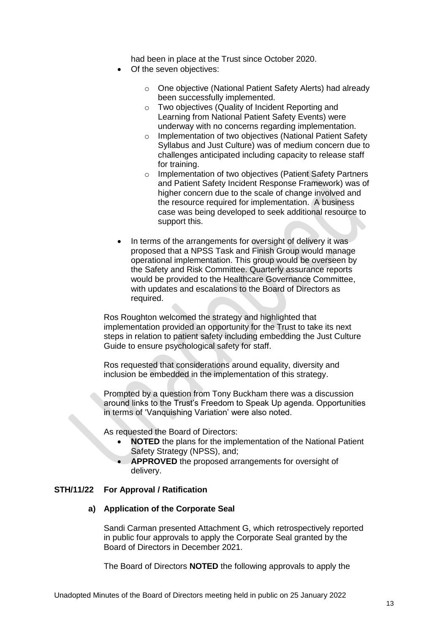had been in place at the Trust since October 2020.

- Of the seven objectives:
	- o One objective (National Patient Safety Alerts) had already been successfully implemented.
	- o Two objectives (Quality of Incident Reporting and Learning from National Patient Safety Events) were underway with no concerns regarding implementation.
	- o Implementation of two objectives (National Patient Safety Syllabus and Just Culture) was of medium concern due to challenges anticipated including capacity to release staff for training.
	- o Implementation of two objectives (Patient Safety Partners and Patient Safety Incident Response Framework) was of higher concern due to the scale of change involved and the resource required for implementation. A business case was being developed to seek additional resource to support this.
- In terms of the arrangements for oversight of delivery it was proposed that a NPSS Task and Finish Group would manage operational implementation. This group would be overseen by the Safety and Risk Committee. Quarterly assurance reports would be provided to the Healthcare Governance Committee, with updates and escalations to the Board of Directors as required.

Ros Roughton welcomed the strategy and highlighted that implementation provided an opportunity for the Trust to take its next steps in relation to patient safety including embedding the Just Culture Guide to ensure psychological safety for staff.

Ros requested that considerations around equality, diversity and inclusion be embedded in the implementation of this strategy.

Prompted by a question from Tony Buckham there was a discussion around links to the Trust's Freedom to Speak Up agenda. Opportunities in terms of 'Vanquishing Variation' were also noted.

As requested the Board of Directors:

- **NOTED** the plans for the implementation of the National Patient Safety Strategy (NPSS), and;
- **APPROVED** the proposed arrangements for oversight of delivery.

### **STH/11/22 For Approval / Ratification**

### **a) Application of the Corporate Seal**

Sandi Carman presented Attachment G, which retrospectively reported in public four approvals to apply the Corporate Seal granted by the Board of Directors in December 2021.

The Board of Directors **NOTED** the following approvals to apply the